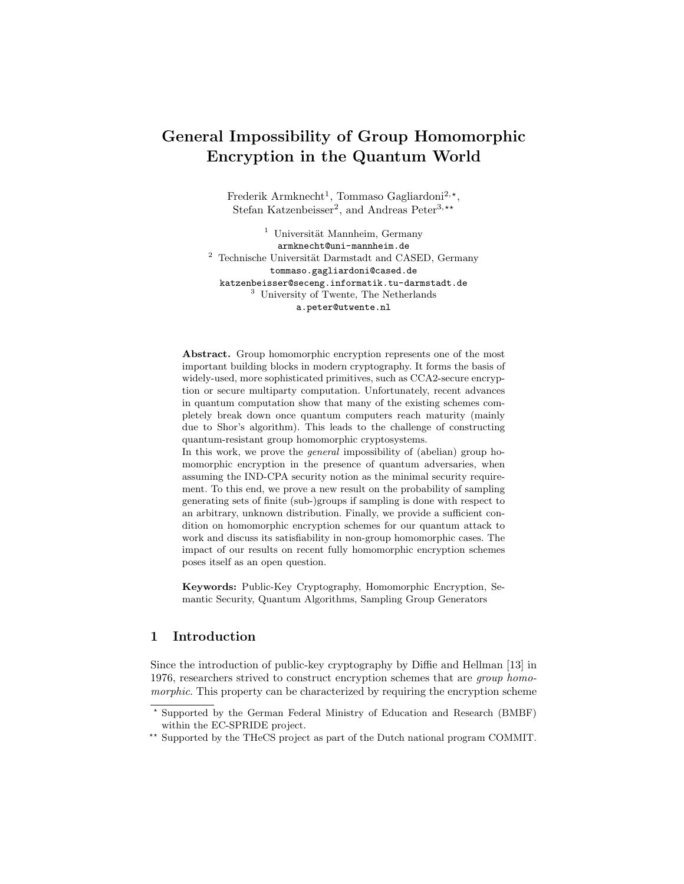# **General Impossibility of Group Homomorphic Encryption in the Quantum World**

Frederik Armknecht<sup>1</sup>, Tommaso Gagliardoni<sup>2,\*</sup>, Stefan Katzenbeisser<sup>2</sup>, and Andreas Peter<sup>3,\*\*</sup>

 $1$  Universität Mannheim, Germany armknecht@uni-mannheim.de  $2$  Technische Universität Darmstadt and CASED, Germany tommaso.gagliardoni@cased.de katzenbeisser@seceng.informatik.tu-darmstadt.de <sup>3</sup> University of Twente, The Netherlands a.peter@utwente.nl

**Abstract.** Group homomorphic encryption represents one of the most important building blocks in modern cryptography. It forms the basis of widely-used, more sophisticated primitives, such as CCA2-secure encryption or secure multiparty computation. Unfortunately, recent advances in quantum computation show that many of the existing schemes completely break down once quantum computers reach maturity (mainly due to Shor's algorithm). This leads to the challenge of constructing quantum-resistant group homomorphic cryptosystems.

In this work, we prove the *general* impossibility of (abelian) group homomorphic encryption in the presence of quantum adversaries, when assuming the IND-CPA security notion as the minimal security requirement. To this end, we prove a new result on the probability of sampling generating sets of finite (sub-)groups if sampling is done with respect to an arbitrary, unknown distribution. Finally, we provide a sufficient condition on homomorphic encryption schemes for our quantum attack to work and discuss its satisfiability in non-group homomorphic cases. The impact of our results on recent fully homomorphic encryption schemes poses itself as an open question.

**Keywords:** Public-Key Cryptography, Homomorphic Encryption, Semantic Security, Quantum Algorithms, Sampling Group Generators

# **1 Introduction**

Since the introduction of public-key cryptography by Diffie and Hellman [13] in 1976, researchers strived to construct encryption schemes that are *group homomorphic*. This property can be characterized by requiring the encryption scheme

*<sup>?</sup>* Supported by the German Federal Ministry of Education and Research (BMBF) within the EC-SPRIDE project.

<sup>\*\*</sup> Supported by the THeCS project as part of the Dutch national program COMMIT.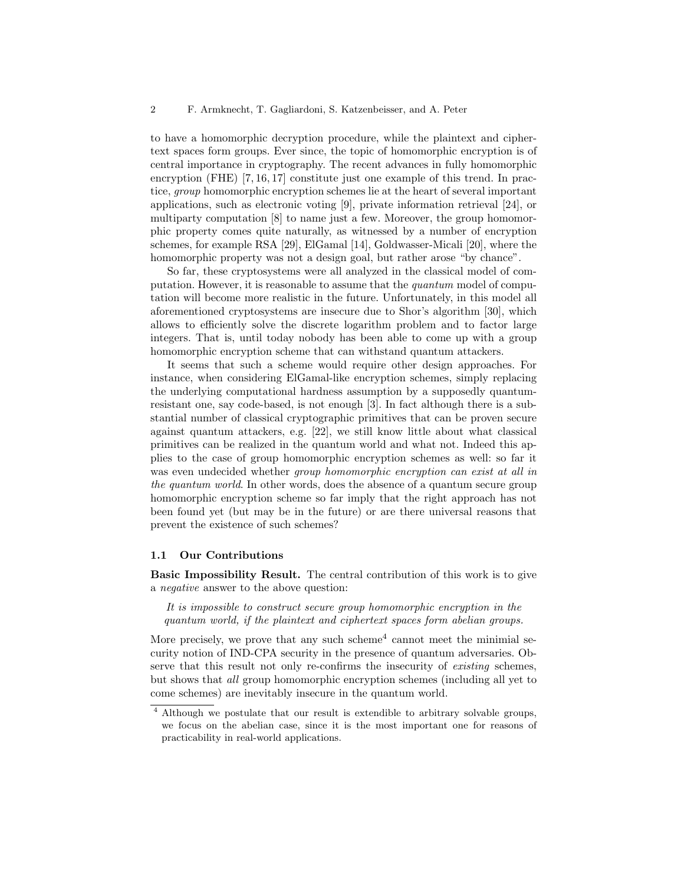to have a homomorphic decryption procedure, while the plaintext and ciphertext spaces form groups. Ever since, the topic of homomorphic encryption is of central importance in cryptography. The recent advances in fully homomorphic encryption (FHE) [7, 16, 17] constitute just one example of this trend. In practice, *group* homomorphic encryption schemes lie at the heart of several important applications, such as electronic voting [9], private information retrieval [24], or multiparty computation [8] to name just a few. Moreover, the group homomorphic property comes quite naturally, as witnessed by a number of encryption schemes, for example RSA [29], ElGamal [14], Goldwasser-Micali [20], where the homomorphic property was not a design goal, but rather arose "by chance".

So far, these cryptosystems were all analyzed in the classical model of computation. However, it is reasonable to assume that the *quantum* model of computation will become more realistic in the future. Unfortunately, in this model all aforementioned cryptosystems are insecure due to Shor's algorithm [30], which allows to efficiently solve the discrete logarithm problem and to factor large integers. That is, until today nobody has been able to come up with a group homomorphic encryption scheme that can withstand quantum attackers.

It seems that such a scheme would require other design approaches. For instance, when considering ElGamal-like encryption schemes, simply replacing the underlying computational hardness assumption by a supposedly quantumresistant one, say code-based, is not enough [3]. In fact although there is a substantial number of classical cryptographic primitives that can be proven secure against quantum attackers, e.g. [22], we still know little about what classical primitives can be realized in the quantum world and what not. Indeed this applies to the case of group homomorphic encryption schemes as well: so far it was even undecided whether *group homomorphic encryption can exist at all in the quantum world*. In other words, does the absence of a quantum secure group homomorphic encryption scheme so far imply that the right approach has not been found yet (but may be in the future) or are there universal reasons that prevent the existence of such schemes?

#### **1.1 Our Contributions**

**Basic Impossibility Result.** The central contribution of this work is to give a *negative* answer to the above question:

*It is impossible to construct secure group homomorphic encryption in the quantum world, if the plaintext and ciphertext spaces form abelian groups.*

More precisely, we prove that any such scheme<sup>4</sup> cannot meet the minimial security notion of IND-CPA security in the presence of quantum adversaries. Observe that this result not only re-confirms the insecurity of *existing* schemes, but shows that *all* group homomorphic encryption schemes (including all yet to come schemes) are inevitably insecure in the quantum world.

<sup>&</sup>lt;sup>4</sup> Although we postulate that our result is extendible to arbitrary solvable groups, we focus on the abelian case, since it is the most important one for reasons of practicability in real-world applications.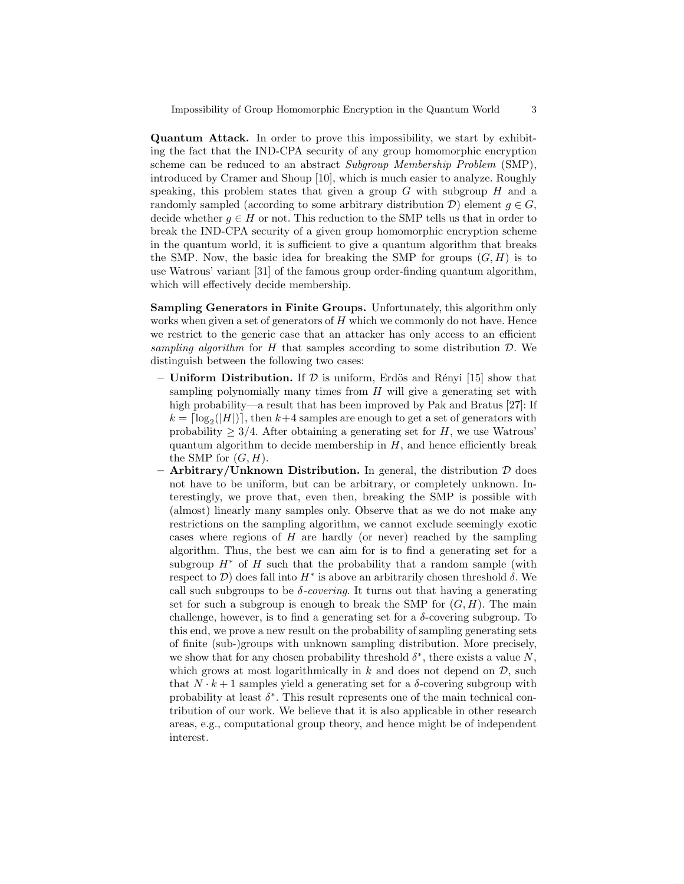**Quantum Attack.** In order to prove this impossibility, we start by exhibiting the fact that the IND-CPA security of any group homomorphic encryption scheme can be reduced to an abstract *Subgroup Membership Problem* (SMP), introduced by Cramer and Shoup [10], which is much easier to analyze. Roughly speaking, this problem states that given a group *G* with subgroup *H* and a randomly sampled (according to some arbitrary distribution  $\mathcal{D}$ ) element  $q \in G$ , decide whether  $g \in H$  or not. This reduction to the SMP tells us that in order to break the IND-CPA security of a given group homomorphic encryption scheme in the quantum world, it is sufficient to give a quantum algorithm that breaks the SMP. Now, the basic idea for breaking the SMP for groups  $(G, H)$  is to use Watrous' variant [31] of the famous group order-finding quantum algorithm, which will effectively decide membership.

**Sampling Generators in Finite Groups.** Unfortunately, this algorithm only works when given a set of generators of *H* which we commonly do not have. Hence we restrict to the generic case that an attacker has only access to an efficient *sampling algorithm* for *H* that samples according to some distribution *D*. We distinguish between the following two cases:

- $-$  **Uniform Distribution.** If  $\mathcal{D}$  is uniform, Erdös and Rényi [15] show that sampling polynomially many times from *H* will give a generating set with high probability—a result that has been improved by Pak and Bratus [27]: If  $k = \lfloor \log_2(|H|) \rfloor$ , then  $k+4$  samples are enough to get a set of generators with probability  $>$  3/4. After obtaining a generating set for *H*, we use Watrous' quantum algorithm to decide membership in *H*, and hence efficiently break the SMP for  $(G, H)$ .
- **– Arbitrary/Unknown Distribution.** In general, the distribution *D* does not have to be uniform, but can be arbitrary, or completely unknown. Interestingly, we prove that, even then, breaking the SMP is possible with (almost) linearly many samples only. Observe that as we do not make any restrictions on the sampling algorithm, we cannot exclude seemingly exotic cases where regions of *H* are hardly (or never) reached by the sampling algorithm. Thus, the best we can aim for is to find a generating set for a subgroup  $H^*$  of  $H$  such that the probability that a random sample (with respect to *D*) does fall into *H<sup>∗</sup>* is above an arbitrarily chosen threshold *δ*. We call such subgroups to be  $\delta$ -covering. It turns out that having a generating set for such a subgroup is enough to break the SMP for  $(G, H)$ . The main challenge, however, is to find a generating set for a  $\delta$ -covering subgroup. To this end, we prove a new result on the probability of sampling generating sets of finite (sub-)groups with unknown sampling distribution. More precisely, we show that for any chosen probability threshold  $\delta^*$ , there exists a value  $N$ , which grows at most logarithmically in  $k$  and does not depend on  $\mathcal{D}$ , such that  $N \cdot k + 1$  samples yield a generating set for a  $\delta$ -covering subgroup with probability at least  $\delta^*$ . This result represents one of the main technical contribution of our work. We believe that it is also applicable in other research areas, e.g., computational group theory, and hence might be of independent interest.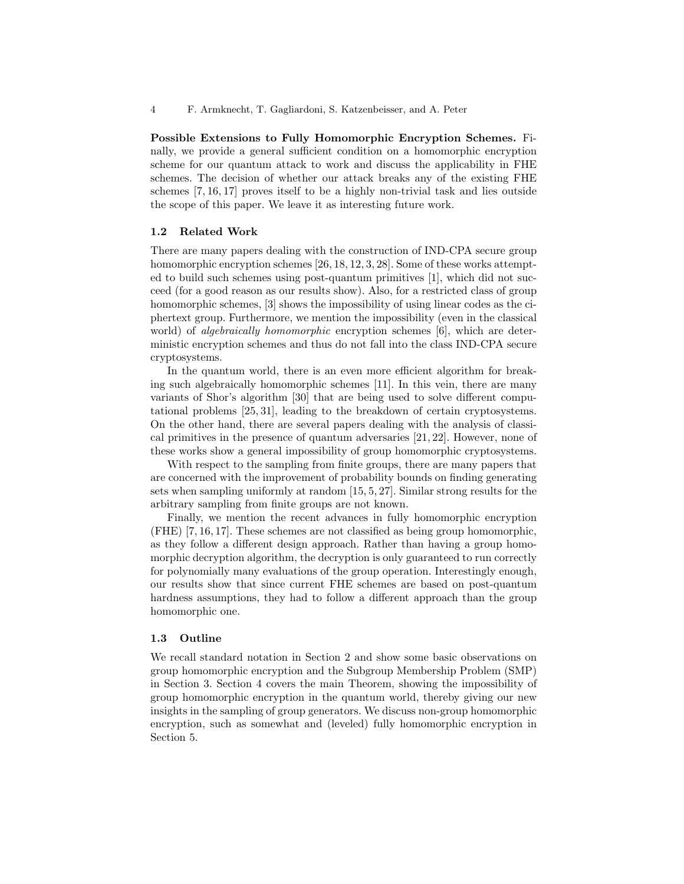**Possible Extensions to Fully Homomorphic Encryption Schemes.** Finally, we provide a general sufficient condition on a homomorphic encryption scheme for our quantum attack to work and discuss the applicability in FHE schemes. The decision of whether our attack breaks any of the existing FHE schemes [7, 16, 17] proves itself to be a highly non-trivial task and lies outside the scope of this paper. We leave it as interesting future work.

#### **1.2 Related Work**

There are many papers dealing with the construction of IND-CPA secure group homomorphic encryption schemes [26, 18, 12, 3, 28]. Some of these works attempted to build such schemes using post-quantum primitives [1], which did not succeed (for a good reason as our results show). Also, for a restricted class of group homomorphic schemes, [3] shows the impossibility of using linear codes as the ciphertext group. Furthermore, we mention the impossibility (even in the classical world) of *algebraically homomorphic* encryption schemes [6], which are deterministic encryption schemes and thus do not fall into the class IND-CPA secure cryptosystems.

In the quantum world, there is an even more efficient algorithm for breaking such algebraically homomorphic schemes [11]. In this vein, there are many variants of Shor's algorithm [30] that are being used to solve different computational problems [25, 31], leading to the breakdown of certain cryptosystems. On the other hand, there are several papers dealing with the analysis of classical primitives in the presence of quantum adversaries [21, 22]. However, none of these works show a general impossibility of group homomorphic cryptosystems.

With respect to the sampling from finite groups, there are many papers that are concerned with the improvement of probability bounds on finding generating sets when sampling uniformly at random [15, 5, 27]. Similar strong results for the arbitrary sampling from finite groups are not known.

Finally, we mention the recent advances in fully homomorphic encryption (FHE) [7, 16, 17]. These schemes are not classified as being group homomorphic, as they follow a different design approach. Rather than having a group homomorphic decryption algorithm, the decryption is only guaranteed to run correctly for polynomially many evaluations of the group operation. Interestingly enough, our results show that since current FHE schemes are based on post-quantum hardness assumptions, they had to follow a different approach than the group homomorphic one.

#### **1.3 Outline**

We recall standard notation in Section 2 and show some basic observations on group homomorphic encryption and the Subgroup Membership Problem (SMP) in Section 3. Section 4 covers the main Theorem, showing the impossibility of group homomorphic encryption in the quantum world, thereby giving our new insights in the sampling of group generators. We discuss non-group homomorphic encryption, such as somewhat and (leveled) fully homomorphic encryption in Section 5.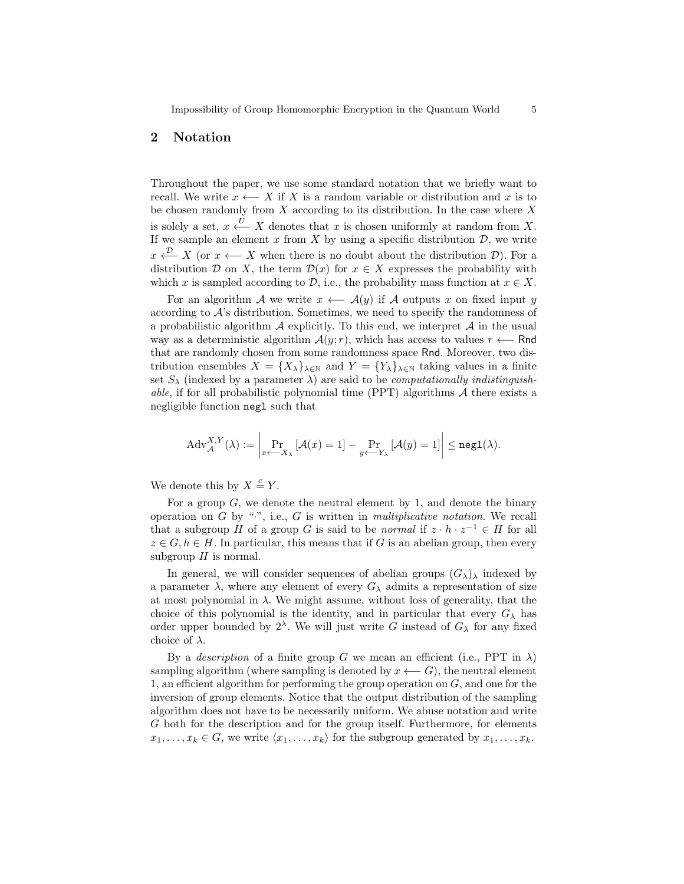# **2 Notation**

Throughout the paper, we use some standard notation that we briefly want to recall. We write  $x \leftarrow X$  if *X* is a random variable or distribution and *x* is to be chosen randomly from *X* according to its distribution. In the case where *X* is solely a set,  $x \stackrel{U}{\longleftarrow} X$  denotes that  $x$  is chosen uniformly at random from  $X$ . If we sample an element  $x$  from  $X$  by using a specific distribution  $D$ , we write  $x \stackrel{\nu}{\longleftarrow} X$  (or  $x \longleftarrow X$  when there is no doubt about the distribution *D*). For a distribution *D* on *X*, the term  $\mathcal{D}(x)$  for  $x \in X$  expresses the probability with which *x* is sampled according to  $D$ , i.e., the probability mass function at  $x \in X$ .

For an algorithm *A* we write  $x \leftarrow A(y)$  if *A* outputs *x* on fixed input *y* according to *A*'s distribution. Sometimes, we need to specify the randomness of a probabilistic algorithm *A* explicitly. To this end, we interpret *A* in the usual way as a deterministic algorithm  $\mathcal{A}(y; r)$ , which has access to values  $r \leftarrow \mathsf{Rnd}$ that are randomly chosen from some randomness space Rnd. Moreover, two distribution ensembles  $X = \{X_{\lambda}\}_{\lambda \in \mathbb{N}}$  and  $Y = \{Y_{\lambda}\}_{\lambda \in \mathbb{N}}$  taking values in a finite set  $S_\lambda$  (indexed by a parameter  $\lambda$ ) are said to be *computationally indistinguishable*, if for all probabilistic polynomial time (PPT) algorithms *A* there exists a negligible function negl such that

$$
\mathrm{Adv}_{\mathcal{A}}^{X,Y}(\lambda) := \left| \Pr_{x \leftarrow X_{\lambda}} \left[ \mathcal{A}(x) = 1 \right] - \Pr_{y \leftarrow Y_{\lambda}} \left[ \mathcal{A}(y) = 1 \right] \right| \le \mathtt{negl}(\lambda).
$$

We denote this by  $X \stackrel{c}{=} Y$ .

For a group *G*, we denote the neutral element by 1, and denote the binary operation on *G* by "*·*", i.e., *G* is written in *multiplicative notation*. We recall that a subgroup *H* of a group *G* is said to be *normal* if  $z \cdot h \cdot z^{-1} \in H$  for all  $z \in G, h \in H$ . In particular, this means that if *G* is an abelian group, then every subgroup *H* is normal.

In general, we will consider sequences of abelian groups  $(G_\lambda)$ <sub>λ</sub> indexed by a parameter  $\lambda$ , where any element of every  $G_{\lambda}$  admits a representation of size at most polynomial in  $\lambda$ . We might assume, without loss of generality, that the choice of this polynomial is the identity, and in particular that every  $G_{\lambda}$  has order upper bounded by  $2^{\lambda}$ . We will just write *G* instead of  $G_{\lambda}$  for any fixed choice of *λ*.

By a *description* of a finite group *G* we mean an efficient (i.e., PPT in  $\lambda$ ) sampling algorithm (where sampling is denoted by  $x \leftarrow G$ ), the neutral element 1, an efficient algorithm for performing the group operation on *G*, and one for the inversion of group elements. Notice that the output distribution of the sampling algorithm does not have to be necessarily uniform. We abuse notation and write *G* both for the description and for the group itself. Furthermore, for elements  $x_1, \ldots, x_k \in G$ , we write  $\langle x_1, \ldots, x_k \rangle$  for the subgroup generated by  $x_1, \ldots, x_k$ .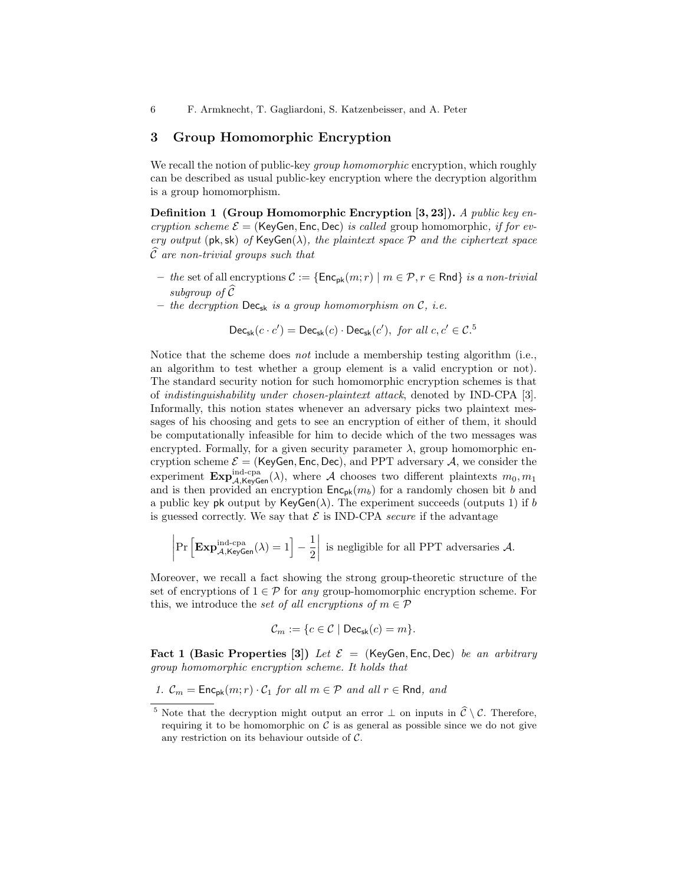# **3 Group Homomorphic Encryption**

We recall the notion of public-key *group homomorphic* encryption, which roughly can be described as usual public-key encryption where the decryption algorithm is a group homomorphism.

**Definition 1 (Group Homomorphic Encryption [3, 23]).** *A public key encryption scheme*  $\mathcal{E} =$  (KeyGen, Enc, Dec) *is called* group homomorphic, *if for every output* ( $pk, sk$ ) *of*  $KeyGen(\lambda)$ *, the plaintext space*  $P$  *and the ciphertext space C*b *are non-trivial groups such that*

- **–** *the* set of all encryptions *C* := *{*Encpk(*m*; *r*) *| m ∈ P, r ∈* Rnd*} is a non-trivial subgroup of*  $\widehat{\mathcal{C}}$
- $-$  *the decryption*  $\text{Dec}_{sk}$  *is a group homomorphism on*  $\mathcal{C}$ *, i.e.*

 $\textsf{Dec}_{\textsf{sk}}(c \cdot c') = \textsf{Dec}_{\textsf{sk}}(c) \cdot \textsf{Dec}_{\textsf{sk}}(c')$ , for all  $c, c' \in \mathcal{C}$ <sup>5</sup>

Notice that the scheme does *not* include a membership testing algorithm (i.e., an algorithm to test whether a group element is a valid encryption or not). The standard security notion for such homomorphic encryption schemes is that of *indistinguishability under chosen-plaintext attack*, denoted by IND-CPA [3]. Informally, this notion states whenever an adversary picks two plaintext messages of his choosing and gets to see an encryption of either of them, it should be computationally infeasible for him to decide which of the two messages was encrypted. Formally, for a given security parameter  $\lambda$ , group homomorphic encryption scheme  $\mathcal{E} =$  (KeyGen, Enc, Dec), and PPT adversary  $\mathcal{A}$ , we consider the experiment  $\mathbf{Exp}_{\mathcal{A},\mathsf{KeyGen}}^{\text{ind-cpa}}(\lambda)$ , where  $\mathcal A$  chooses two different plaintexts  $m_0, m_1$ and is then provided an encryption  $Enc_{pk}(m_b)$  for a randomly chosen bit *b* and a public key pk output by  $KeyGen(\lambda)$ . The experiment succeeds (outputs 1) if *b* is guessed correctly. We say that  $\mathcal E$  is IND-CPA *secure* if the advantage

$$
\left|\Pr\left[\mathbf{Exp}_{\mathcal{A},\mathsf{KeyGen}}^{\mathrm{ind-cpa}}(\lambda)=1\right]-\frac{1}{2}\right| \text{ is negligible for all PPT adversaries } \mathcal{A}.
$$

Moreover, we recall a fact showing the strong group-theoretic structure of the set of encryptions of  $1 \in \mathcal{P}$  for *any* group-homomorphic encryption scheme. For this, we introduce the *set of all encryptions of*  $m \in \mathcal{P}$ 

$$
\mathcal{C}_m := \{c \in \mathcal{C} \mid \mathsf{Dec}_{\mathsf{sk}}(c) = m\}.
$$

**Fact 1 (Basic Properties [3])** *Let*  $\mathcal{E} =$  (KeyGen, Enc, Dec) *be an arbitrary group homomorphic encryption scheme. It holds that*

*1.*  $\mathcal{C}_m$  = Enc<sub>pk</sub> $(m; r) \cdot \mathcal{C}_1$  *for all*  $m \in \mathcal{P}$  *and all*  $r \in$  Rnd, *and* 

<sup>&</sup>lt;sup>5</sup> Note that the decryption might output an error  $\perp$  on inputs in  $\hat{\mathcal{C}} \setminus \mathcal{C}$ . Therefore, requiring it to be homomorphic on  $\mathcal C$  is as general as possible since we do not give any restriction on its behaviour outside of *C*.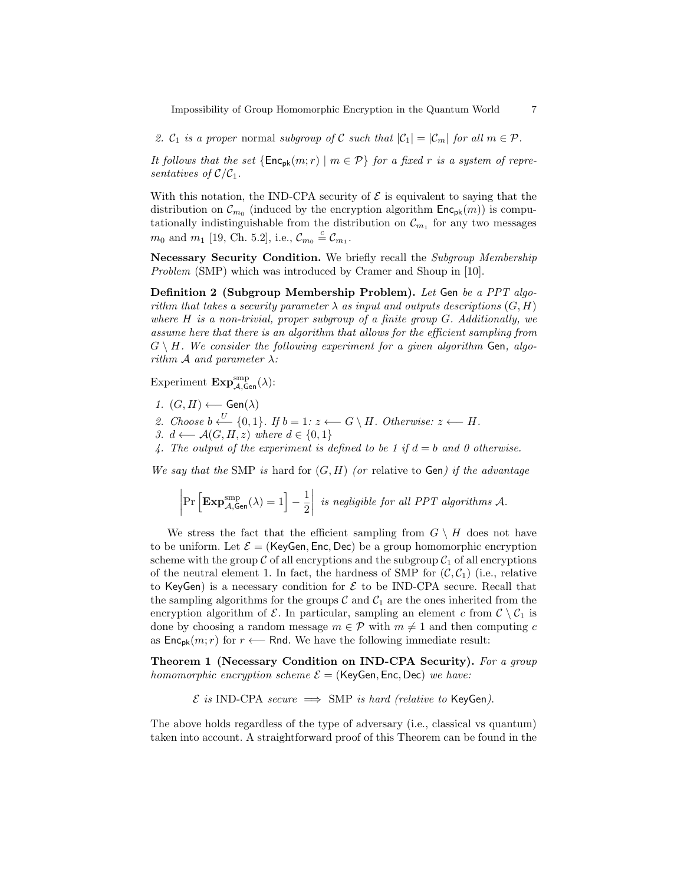Impossibility of Group Homomorphic Encryption in the Quantum World 7

2.  $C_1$  *is a proper* normal *subgroup of*  $C$  *such that*  $|C_1| = |C_m|$  *for all*  $m \in \mathcal{P}$ *.* 

*It follows that the set*  ${Enc_{pk}(m;r) \mid m \in \mathcal{P}}$  *for a fixed r is a system of representatives of*  $C/C_1$ *.* 

With this notation, the IND-CPA security of  $\mathcal E$  is equivalent to saying that the distribution on  $\mathcal{C}_{m_0}$  (induced by the encryption algorithm  $\mathsf{Enc}_{\mathsf{pk}}(m)$ ) is computationally indistinguishable from the distribution on  $\mathcal{C}_{m_1}$  for any two messages *m*<sup>0</sup> and *m*<sup>1</sup> [19, Ch. 5.2], i.e.,  $C_{m_0} \stackrel{c}{=} C_{m_1}$ .

**Necessary Security Condition.** We briefly recall the *Subgroup Membership Problem* (SMP) which was introduced by Cramer and Shoup in [10].

**Definition 2 (Subgroup Membership Problem).** *Let* Gen *be a PPT algorithm that takes a security parameter*  $\lambda$  *as input and outputs descriptions*  $(G, H)$ *where H is a non-trivial, proper subgroup of a finite group G. Additionally, we assume here that there is an algorithm that allows for the efficient sampling from*  $G \setminus H$ *. We consider the following experiment for a given algorithm* Gen, algo*rithm A and parameter*  $\lambda$ *:* 

Experiment  $\mathbf{Exp}_{\mathcal{A},\mathsf{Gen}}^{\text{smp}}(\lambda)$ :

- *1.*  $(G, H)$  ← Gen( $\lambda$ )
- *2. Choose*  $b \stackrel{U}{\leftarrow} \{0,1\}$ *. If*  $b = 1$ *:*  $z \leftarrow G \setminus H$ *. Otherwise:*  $z \leftarrow H$ *.*
- *3. d* ←  $\mathcal{A}(G, H, z)$  *where*  $d \in \{0, 1\}$
- 4. The output of the experiment is defined to be 1 if  $d = b$  and 0 otherwise.

*We say that the* SMP *is* hard for (*G, H*) *(or* relative to Gen*) if the advantage*

$$
\left|\Pr\left[\mathbf{Exp}_{\mathcal{A},\mathsf{Gen}}^{\mathrm{smp}}(\lambda)=1\right]-\frac{1}{2}\right|\text{ is negligible for all PPT algorithms }\mathcal{A}.
$$

We stress the fact that the efficient sampling from  $G \setminus H$  does not have to be uniform. Let  $\mathcal{E} =$  (KeyGen, Enc, Dec) be a group homomorphic encryption scheme with the group  $\mathcal C$  of all encryptions and the subgroup  $\mathcal C_1$  of all encryptions of the neutral element 1. In fact, the hardness of SMP for  $(C, C_1)$  (i.e., relative to KeyGen) is a necessary condition for  $\mathcal E$  to be IND-CPA secure. Recall that the sampling algorithms for the groups  $\mathcal C$  and  $\mathcal C_1$  are the ones inherited from the encryption algorithm of  $\mathcal{E}$ . In particular, sampling an element *c* from  $\mathcal{C} \setminus \mathcal{C}_1$  is done by choosing a random message  $m \in \mathcal{P}$  with  $m \neq 1$  and then computing *c* as  $Enc_{pk}(m; r)$  for  $r \leftarrow$  Rnd. We have the following immediate result:

**Theorem 1 (Necessary Condition on IND-CPA Security).** *For a group homomorphic encryption scheme*  $\mathcal{E} =$  (KeyGen, Enc, Dec) *we have:* 

$$
\mathcal{E}
$$
 is IND-CPA secure  $\implies$  SMP is hard (relative to KeyGen).

The above holds regardless of the type of adversary (i.e., classical vs quantum) taken into account. A straightforward proof of this Theorem can be found in the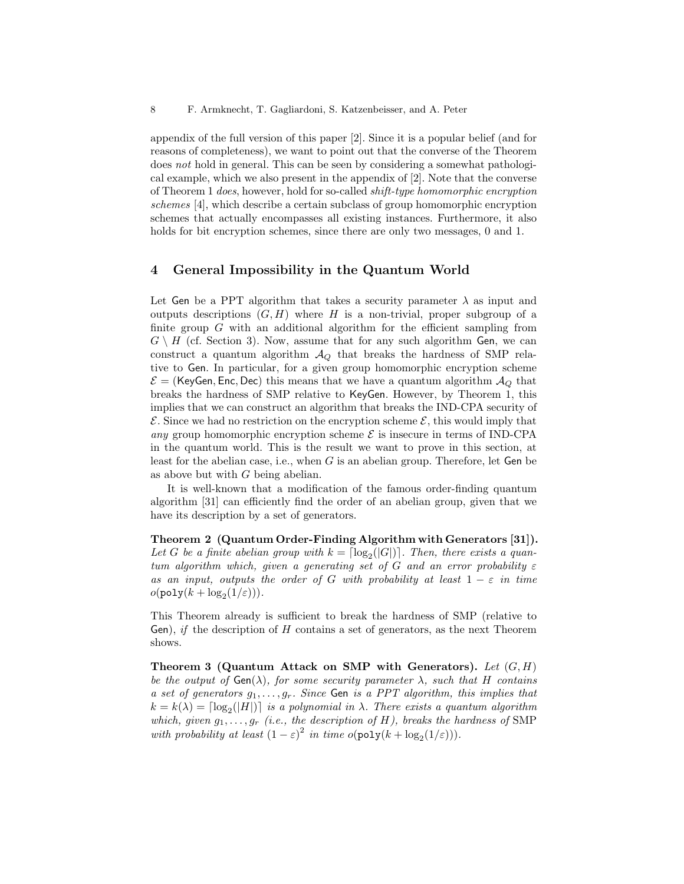appendix of the full version of this paper [2]. Since it is a popular belief (and for reasons of completeness), we want to point out that the converse of the Theorem does *not* hold in general. This can be seen by considering a somewhat pathological example, which we also present in the appendix of [2]. Note that the converse of Theorem 1 *does*, however, hold for so-called *shift-type homomorphic encryption schemes* [4], which describe a certain subclass of group homomorphic encryption schemes that actually encompasses all existing instances. Furthermore, it also holds for bit encryption schemes, since there are only two messages, 0 and 1.

#### **4 General Impossibility in the Quantum World**

Let Gen be a PPT algorithm that takes a security parameter  $\lambda$  as input and outputs descriptions  $(G, H)$  where *H* is a non-trivial, proper subgroup of a finite group *G* with an additional algorithm for the efficient sampling from  $G \setminus H$  (cf. Section 3). Now, assume that for any such algorithm Gen, we can construct a quantum algorithm  $A_Q$  that breaks the hardness of SMP relative to Gen. In particular, for a given group homomorphic encryption scheme  $\mathcal{E} =$  (KeyGen, Enc, Dec) this means that we have a quantum algorithm  $\mathcal{A}_Q$  that breaks the hardness of SMP relative to KeyGen. However, by Theorem 1, this implies that we can construct an algorithm that breaks the IND-CPA security of  $\mathcal E$ . Since we had no restriction on the encryption scheme  $\mathcal E$ , this would imply that *any* group homomorphic encryption scheme  $\mathcal{E}$  is insecure in terms of IND-CPA in the quantum world. This is the result we want to prove in this section, at least for the abelian case, i.e., when *G* is an abelian group. Therefore, let Gen be as above but with *G* being abelian.

It is well-known that a modification of the famous order-finding quantum algorithm [31] can efficiently find the order of an abelian group, given that we have its description by a set of generators.

**Theorem 2 (Quantum Order-Finding Algorithm with Generators [31]).** Let *G* be a finite abelian group with  $k = \lfloor \log_2(|G|) \rfloor$ . Then, there exists a quan*tum algorithm which, given a generating set of*  $G$  *and an error probability*  $\varepsilon$ *as an input, outputs the order of G with probability at least*  $1 - \varepsilon$  *in time*  $o(\texttt{poly}(k + \log_2(1/\varepsilon)))$ .

This Theorem already is sufficient to break the hardness of SMP (relative to Gen), *if* the description of *H* contains a set of generators, as the next Theorem shows.

**Theorem 3 (Quantum Attack on SMP with Generators).** *Let* (*G, H*) *be the output of*  $Gen(\lambda)$ *, for some security parameter*  $\lambda$ *, such that H contains a set of generators g*1*, . . . , gr. Since* Gen *is a PPT algorithm, this implies that*  $k = k(\lambda) = \lceil \log_2(|H|) \rceil$  *is a polynomial in*  $\lambda$ *. There exists a quantum algorithm which, given*  $g_1, \ldots, g_r$  *(i.e., the description of H), breaks the hardness of* SMP *with probability at least*  $(1 - \varepsilon)^2$  *in time*  $o(\text{poly}(k + \log_2(1/\varepsilon)))$ *.*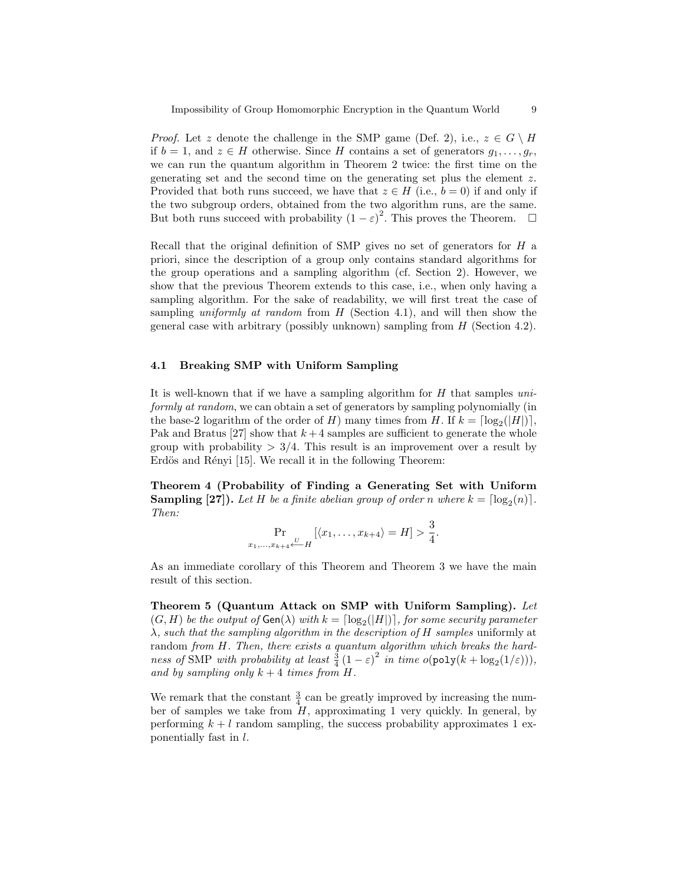*Proof.* Let *z* denote the challenge in the SMP game (Def. 2), i.e.,  $z \in G \setminus H$ if *b* = 1, and *z* ∈ *H* otherwise. Since *H* contains a set of generators  $q_1, \ldots, q_r$ , we can run the quantum algorithm in Theorem 2 twice: the first time on the generating set and the second time on the generating set plus the element *z*. Provided that both runs succeed, we have that  $z \in H$  (i.e.,  $b = 0$ ) if and only if the two subgroup orders, obtained from the two algorithm runs, are the same. But both runs succeed with probability  $(1 - \varepsilon)^2$ . This proves the Theorem.  $\square$ 

Recall that the original definition of SMP gives no set of generators for *H* a priori, since the description of a group only contains standard algorithms for the group operations and a sampling algorithm (cf. Section 2). However, we show that the previous Theorem extends to this case, i.e., when only having a sampling algorithm. For the sake of readability, we will first treat the case of sampling *uniformly at random* from *H* (Section 4.1), and will then show the general case with arbitrary (possibly unknown) sampling from *H* (Section 4.2).

#### **4.1 Breaking SMP with Uniform Sampling**

It is well-known that if we have a sampling algorithm for *H* that samples *uniformly at random*, we can obtain a set of generators by sampling polynomially (in the base-2 logarithm of the order of *H*) many times from *H*. If  $k = \lceil \log_2(|H|) \rceil$ , Pak and Bratus  $[27]$  show that  $k+4$  samples are sufficient to generate the whole group with probability  $> 3/4$ . This result is an improvement over a result by Erdös and Rényi [15]. We recall it in the following Theorem:

**Theorem 4 (Probability of Finding a Generating Set with Uniform Sampling [27]).** Let *H* be a finite abelian group of order *n* where  $k = \lfloor \log_2(n) \rfloor$ . *Then:*

$$
\Pr_{x_1,...,x_{k+4} \leftarrow H} [\langle x_1,...,x_{k+4} \rangle = H] > \frac{3}{4}.
$$

As an immediate corollary of this Theorem and Theorem 3 we have the main result of this section.

**Theorem 5 (Quantum Attack on SMP with Uniform Sampling).** *Let*  $(G, H)$  *be the output of*  $Gen(\lambda)$  *with*  $k = \lceil log_2(|H|) \rceil$ , for some security parameter *λ, such that the sampling algorithm in the description of H samples* uniformly at random *from H. Then, there exists a quantum algorithm which breaks the hardness of* SMP *with probability at least*  $\frac{3}{4}(1 - \varepsilon)^2$  *in time*  $o(\text{poly}(k + \log_2(1/\varepsilon)))$ *, and by sampling only*  $k + 4$  *times from*  $H$ *.* 

We remark that the constant  $\frac{3}{4}$  can be greatly improved by increasing the number of samples we take from  $H$ , approximating 1 very quickly. In general, by performing  $k + l$  random sampling, the success probability approximates 1 exponentially fast in *l*.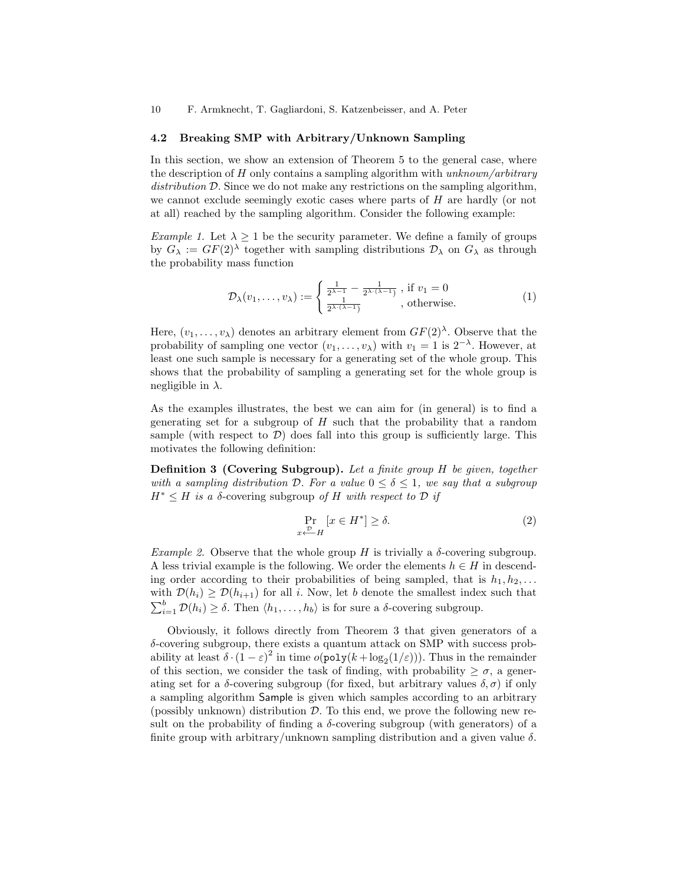10 F. Armknecht, T. Gagliardoni, S. Katzenbeisser, and A. Peter

#### **4.2 Breaking SMP with Arbitrary/Unknown Sampling**

In this section, we show an extension of Theorem 5 to the general case, where the description of *H* only contains a sampling algorithm with *unknown/arbitrary* distribution D. Since we do not make any restrictions on the sampling algorithm, we cannot exclude seemingly exotic cases where parts of *H* are hardly (or not at all) reached by the sampling algorithm. Consider the following example:

*Example 1.* Let  $\lambda \geq 1$  be the security parameter. We define a family of groups by  $G_{\lambda} := GF(2)^{\lambda}$  together with sampling distributions  $\mathcal{D}_{\lambda}$  on  $G_{\lambda}$  as through the probability mass function

$$
\mathcal{D}_{\lambda}(v_1,\ldots,v_{\lambda}) := \begin{cases} \frac{1}{2^{\lambda-1}} - \frac{1}{2^{\lambda\cdot(\lambda-1)}}, \text{ if } v_1 = 0\\ \frac{1}{2^{\lambda\cdot(\lambda-1)}}, \text{ otherwise.} \end{cases}
$$
(1)

Here,  $(v_1, \ldots, v_\lambda)$  denotes an arbitrary element from  $GF(2)^\lambda$ . Observe that the probability of sampling one vector  $(v_1, \ldots, v_\lambda)$  with  $v_1 = 1$  is  $2^{-\lambda}$ . However, at least one such sample is necessary for a generating set of the whole group. This shows that the probability of sampling a generating set for the whole group is negligible in *λ*.

As the examples illustrates, the best we can aim for (in general) is to find a generating set for a subgroup of *H* such that the probability that a random sample (with respect to  $\mathcal{D}$ ) does fall into this group is sufficiently large. This motivates the following definition:

**Definition 3 (Covering Subgroup).** *Let a finite group H be given, together with a sampling distribution*  $D$ *. For a value*  $0 \leq \delta \leq 1$ *, we say that a subgroup*  $H^* \leq H$  *is a*  $\delta$ -covering subgroup *of*  $H$  *with respect to*  $\mathcal{D}$  *if* 

$$
\Pr_{x \leftarrow H} [x \in H^*] \ge \delta. \tag{2}
$$

*Example 2.* Observe that the whole group *H* is trivially a  $\delta$ -covering subgroup. A less trivial example is the following. We order the elements  $h \in H$  in descending order according to their probabilities of being sampled, that is  $h_1, h_2, \ldots$ with  $\mathcal{D}(h_i) \geq \mathcal{D}(h_{i+1})$  for all *i*. Now, let *b* denote the smallest index such that  $\sum_{i=1}^{b} \mathcal{D}(h_i) \geq \delta$ . Then  $\langle h_1, \ldots, h_b \rangle$  is for sure a *δ*-covering subgroup.

Obviously, it follows directly from Theorem 3 that given generators of a *δ*-covering subgroup, there exists a quantum attack on SMP with success probability at least  $\delta \cdot (1 - \varepsilon)^2$  in time  $o(\text{poly}(k + \log_2(1/\varepsilon)))$ . Thus in the remainder of this section, we consider the task of finding, with probability  $\geq \sigma$ , a generating set for a  $\delta$ -covering subgroup (for fixed, but arbitrary values  $\delta$ ,  $\sigma$ ) if only a sampling algorithm Sample is given which samples according to an arbitrary (possibly unknown) distribution *D*. To this end, we prove the following new result on the probability of finding a  $\delta$ -covering subgroup (with generators) of a finite group with arbitrary/unknown sampling distribution and a given value *δ*.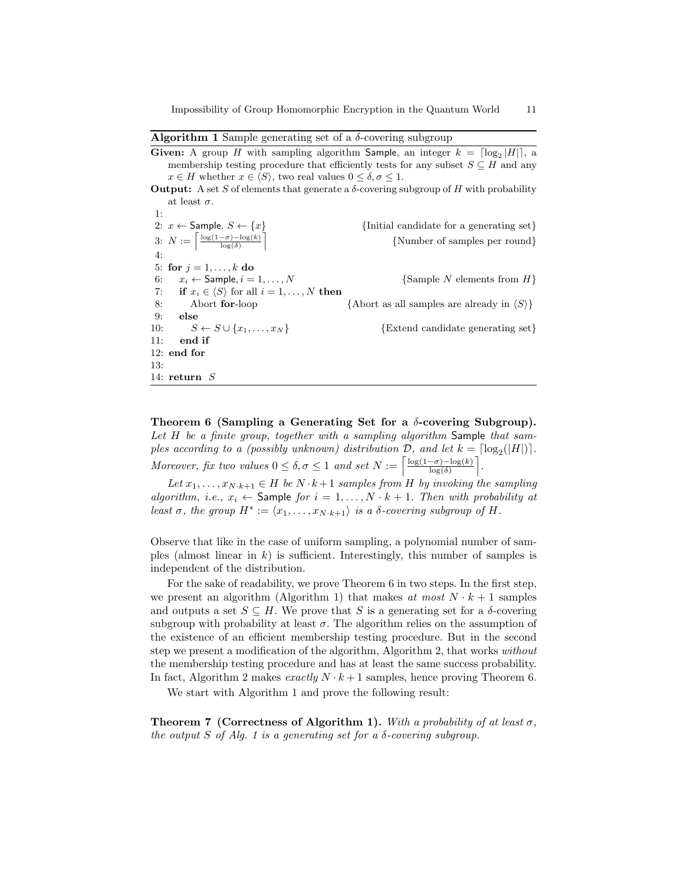#### **Algorithm 1** Sample generating set of a *δ*-covering subgroup

| <b>Given:</b> A group H with sampling algorithm <b>Sample</b> , an integer $k = \lfloor \log_2  H  \rfloor$ , a |                                                 |
|-----------------------------------------------------------------------------------------------------------------|-------------------------------------------------|
| membership testing procedure that efficiently tests for any subset $S \subseteq H$ and any                      |                                                 |
| $x \in H$ whether $x \in \langle S \rangle$ , two real values $0 \le \delta, \sigma \le 1$ .                    |                                                 |
| <b>Output:</b> A set S of elements that generate a $\delta$ -covering subgroup of H with probability            |                                                 |
| at least $\sigma$ .                                                                                             |                                                 |
| 1:                                                                                                              |                                                 |
| 2: $x \leftarrow$ Sample, $S \leftarrow \{x\}$                                                                  | {Initial candidate for a generating set}        |
| 3: $N := \left\lceil \frac{\log(1-\sigma) - \log(k)}{\log(\delta)} \right\rceil$                                | {Number of samples per round}                   |
| 4:                                                                                                              |                                                 |
| 5: for $j = 1, , k$ do                                                                                          |                                                 |
| 6: $x_i \leftarrow$ Sample, $i = 1, , N$                                                                        | $\{\text{Sample } N \text{ elements from } H\}$ |
| 7: if $x_i \in \langle S \rangle$ for all $i = 1, , N$ then                                                     |                                                 |

8: Abort **for**-loop *{*Abort as all samples are already in *hSi}* 9: **else** 10:  $S \leftarrow S \cup \{x_1, \ldots, x_N\}$  {Extend candidate generating set} 11: **end if** 12: **end for** 13: 14: **return** *S*

**Theorem 6 (Sampling a Generating Set for a** *δ***-covering Subgroup).** *Let H be a finite group, together with a sampling algorithm* Sample *that samples according to a (possibly unknown) distribution*  $D$ *, and let*  $k = \lfloor log_2(|H|) \rfloor$ *. Moreover, fix two values*  $0 \le \delta$ ,  $\sigma \le 1$  *and set*  $N := \left[ \frac{\log(1-\sigma) - \log(k)}{\log(\delta)} \right]$ m *.*

*Let*  $x_1, \ldots, x_{N \cdot k+1} \in H$  *be*  $N \cdot k+1$  *samples from H by invoking the sampling algorithm, i.e.,*  $x_i \leftarrow$  Sample *for*  $i = 1, ..., N \cdot k + 1$ *. Then with probability at least*  $\sigma$ *, the group*  $H^* := \langle x_1, \ldots, x_{N \cdot k+1} \rangle$  *is a δ-covering subgroup of*  $H$ *.* 

Observe that like in the case of uniform sampling, a polynomial number of samples (almost linear in *k*) is sufficient. Interestingly, this number of samples is independent of the distribution.

For the sake of readability, we prove Theorem 6 in two steps. In the first step, we present an algorithm (Algorithm 1) that makes *at most*  $N \cdot k + 1$  samples and outputs a set  $S \subseteq H$ . We prove that *S* is a generating set for a *δ*-covering subgroup with probability at least  $\sigma$ . The algorithm relies on the assumption of the existence of an efficient membership testing procedure. But in the second step we present a modification of the algorithm, Algorithm 2, that works *without* the membership testing procedure and has at least the same success probability. In fact, Algorithm 2 makes *exactly*  $N \cdot k + 1$  samples, hence proving Theorem 6.

We start with Algorithm 1 and prove the following result:

**Theorem 7 (Correctness of Algorithm 1).** *With a probability of at least*  $\sigma$ *, the output*  $S$  *of Alg. 1 is a generating set for a*  $\delta$ *-covering subgroup.*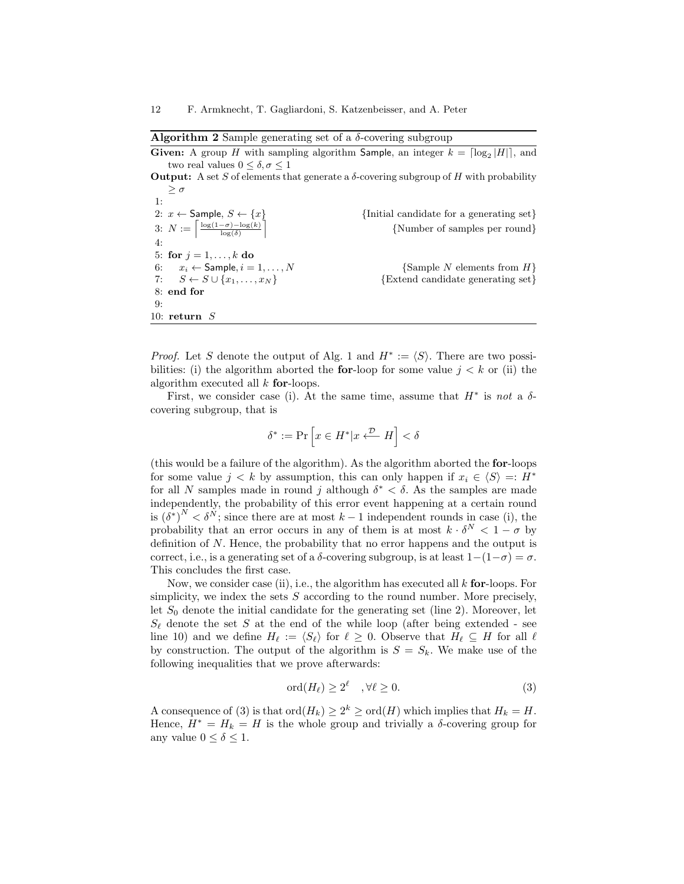# **Algorithm 2** Sample generating set of a *δ*-covering subgroup

**Given:** A group *H* with sampling algorithm **Sample**, an integer  $k = \lceil \log_2 |H| \rceil$ , and two real values  $0 \leq \delta, \sigma \leq 1$ **Output:** A set *S* of elements that generate a  $\delta$ -covering subgroup of *H* with probability *≥ σ* 1: 2:  $x \leftarrow$  Sample,  $S \leftarrow \{x\}$  {Initial candidate for a generating set} 3:  $N := \left[\frac{\log(1-\sigma) - \log(k)}{\log(\delta)}\right]$ ำ *{*Number of samples per round*}* 4: 5: **for**  $j = 1, ..., k$  **do** 6:  $x_i \leftarrow$  Sample,  $i = 1, ..., N$  {Sample *N* elements from *H*} 7:  $S \leftarrow S \cup \{x_1, \ldots, x_N\}$  {Extend candidate generating set} 8: **end for** 9: 10: **return** *S*

*Proof.* Let *S* denote the output of Alg. 1 and  $H^* := \langle S \rangle$ . There are two possibilities: (i) the algorithm aborted the **for**-loop for some value  $j < k$  or (ii) the algorithm executed all *k* **for**-loops.

First, we consider case (i). At the same time, assume that  $H^*$  is not a  $\delta$ covering subgroup, that is

$$
\delta^*:=\Pr\left[x\in H^*|x\stackrel{\mathcal{D}}{\longleftarrow}H\right]<\delta
$$

(this would be a failure of the algorithm). As the algorithm aborted the **for**-loops for some value  $j < k$  by assumption, this can only happen if  $x_i \in \langle S \rangle =: H^*$ for all *N* samples made in round *j* although  $\delta^* < \delta$ . As the samples are made independently, the probability of this error event happening at a certain round is  $(\delta^*)^N < \delta^N$ ; since there are at most  $k-1$  independent rounds in case (i), the probability that an error occurs in any of them is at most  $k \cdot \delta^N < 1 - \sigma$  by definition of *N*. Hence, the probability that no error happens and the output is correct, i.e., is a generating set of a  $\delta$ -covering subgroup, is at least  $1-(1-\sigma) = \sigma$ . This concludes the first case.

Now, we consider case (ii), i.e., the algorithm has executed all *k* **for**-loops. For simplicity, we index the sets *S* according to the round number. More precisely, let  $S_0$  denote the initial candidate for the generating set (line 2). Moreover, let  $S_{\ell}$  denote the set *S* at the end of the while loop (after being extended - see line 10) and we define  $H_\ell := \langle S_\ell \rangle$  for  $\ell \geq 0$ . Observe that  $H_\ell \subseteq H$  for all  $\ell$ by construction. The output of the algorithm is  $S = S_k$ . We make use of the following inequalities that we prove afterwards:

$$
\operatorname{ord}(H_{\ell}) \ge 2^{\ell} \quad , \forall \ell \ge 0. \tag{3}
$$

A consequence of (3) is that  $\text{ord}(H_k) \geq 2^k \geq \text{ord}(H)$  which implies that  $H_k = H$ . Hence,  $H^* = H_k = H$  is the whole group and trivially a  $\delta$ -covering group for any value  $0 \leq \delta \leq 1$ .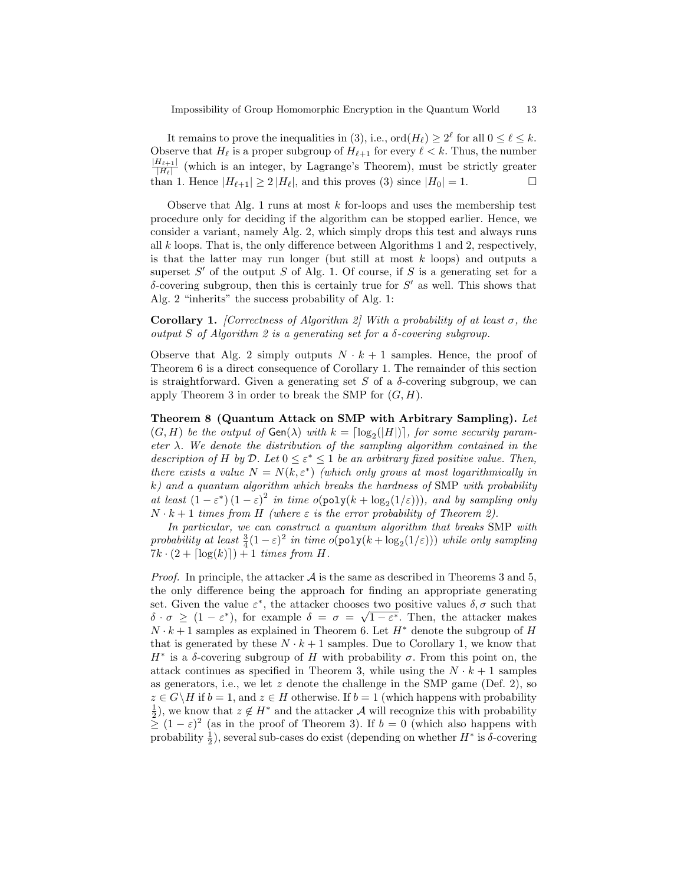It remains to prove the inequalities in (3), i.e.,  $\text{ord}(H_\ell) \geq 2^\ell$  for all  $0 \leq \ell \leq k$ . Observe that  $H_\ell$  is a proper subgroup of  $H_{\ell+1}$  for every  $\ell < k$ . Thus, the number *|H`*+1*|*  $\frac{H_{\ell+1}}{|H_{\ell}|}$  (which is an integer, by Lagrange's Theorem), must be strictly greater than 1. Hence  $|H_{\ell+1}| \geq 2 |H_{\ell}|$ , and this proves (3) since  $|H_0| = 1$ .

Observe that Alg. 1 runs at most *k* for-loops and uses the membership test procedure only for deciding if the algorithm can be stopped earlier. Hence, we consider a variant, namely Alg. 2, which simply drops this test and always runs all *k* loops. That is, the only difference between Algorithms 1 and 2, respectively, is that the latter may run longer (but still at most *k* loops) and outputs a superset  $S'$  of the output  $S$  of Alg. 1. Of course, if  $S$  is a generating set for a *δ*-covering subgroup, then this is certainly true for *S <sup>0</sup>* as well. This shows that Alg. 2 "inherits" the success probability of Alg. 1:

**Corollary 1.** *[Correctness of Algorithm 2] With a probability of at least*  $\sigma$ , the *output S of Algorithm 2 is a generating set for a δ-covering subgroup.*

Observe that Alg. 2 simply outputs  $N \cdot k + 1$  samples. Hence, the proof of Theorem 6 is a direct consequence of Corollary 1. The remainder of this section is straightforward. Given a generating set  $S$  of a  $\delta$ -covering subgroup, we can apply Theorem 3 in order to break the SMP for (*G, H*).

**Theorem 8 (Quantum Attack on SMP with Arbitrary Sampling).** *Let*  $(G, H)$  *be the output of*  $Gen(\lambda)$  *with*  $k = \lfloor log_2(|H|) \rfloor$ , for some security param*eter λ. We denote the distribution of the sampling algorithm contained in the description of H by*  $D$ *. Let*  $0 \leq \varepsilon^* \leq 1$  *be an arbitrary fixed positive value. Then, there exists a value*  $N = N(k, \varepsilon^*)$  *(which only grows at most logarithmically in k) and a quantum algorithm which breaks the hardness of* SMP *with probability at least*  $(1 - \varepsilon^*)(1 - \varepsilon)^2$  *in time*  $o(poly(k + log_2(1/\varepsilon)))$ *, and by sampling only*  $N \cdot k + 1$  *times from H (where*  $\varepsilon$  *is the error probability of Theorem 2).* 

*In particular, we can construct a quantum algorithm that breaks* SMP *with probability at least*  $\frac{3}{4}(1-\varepsilon)^2$  *in time*  $o(\text{poly}(k + \log_2(1/\varepsilon)))$  *while only sampling*  $7k \cdot (2 + \lceil \log(k) \rceil) + 1$  *times from H.* 

*Proof.* In principle, the attacker  $\mathcal A$  is the same as described in Theorems 3 and 5, the only difference being the approach for finding an appropriate generating set. Given the value  $\varepsilon^*$ , the attacker chooses two positive values  $\delta, \sigma$  such that  $\delta \cdot \sigma \geq (1 - \varepsilon^*)$ , for example  $\delta = \sigma = \sqrt{1 - \varepsilon^*}$ . Then, the attacker makes  $N \cdot k + 1$  samples as explained in Theorem 6. Let  $H^*$  denote the subgroup of *H* that is generated by these  $N \cdot k + 1$  samples. Due to Corollary 1, we know that *H*<sup>\*</sup> is a *δ*-covering subgroup of *H* with probability *σ*. From this point on, the attack continues as specified in Theorem 3, while using the  $N \cdot k + 1$  samples as generators, i.e., we let *z* denote the challenge in the SMP game (Def. 2), so  $z \in G \backslash H$  if  $b = 1$ , and  $z \in H$  otherwise. If  $b = 1$  (which happens with probability  $\frac{1}{2}$ , we know that  $z \notin H^*$  and the attacker *A* will recognize this with probability  $\geq (1 - \varepsilon)^2$  (as in the proof of Theorem 3). If  $b = 0$  (which also happens with probability  $\frac{1}{2}$ ), several sub-cases do exist (depending on whether  $H^*$  is  $\delta$ -covering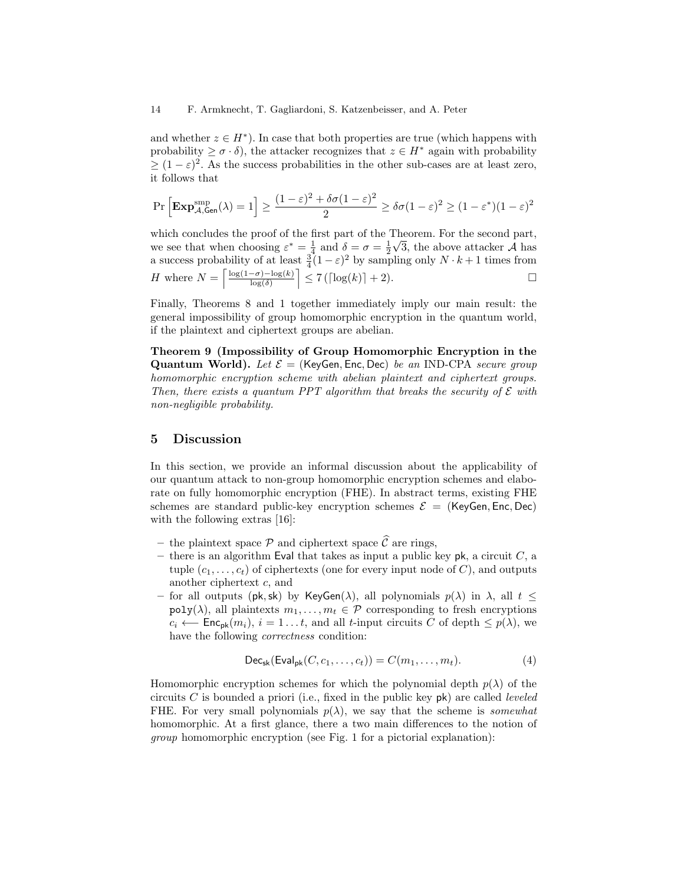and whether  $z \in H^*$ ). In case that both properties are true (which happens with probability  $\geq \sigma \cdot \delta$ , the attacker recognizes that  $z \in H^*$  again with probability  $\geq (1 - \varepsilon)^2$ . As the success probabilities in the other sub-cases are at least zero, it follows that

$$
\Pr\left[\mathbf{Exp}_{\mathcal{A},\mathsf{Gen}}^{\mathrm{smp}}(\lambda) = 1\right] \ge \frac{(1-\varepsilon)^2 + \delta\sigma(1-\varepsilon)^2}{2} \ge \delta\sigma(1-\varepsilon)^2 \ge (1-\varepsilon^*)(1-\varepsilon)^2
$$

which concludes the proof of the first part of the Theorem. For the second part, we see that when choosing  $\varepsilon^* = \frac{1}{4}$  and  $\delta = \sigma = \frac{1}{2}$ *√* 3, the above attacker *A* has a success probability of at least  $\frac{3}{4}(1-\varepsilon)^2$  by sampling only  $N \cdot k + 1$  times from *H* where  $N = \left[\frac{\log(1-\sigma) - \log(k)}{\log(\delta)}\right]$  $\left[ \frac{1}{2}$  7 ( $\left[ \log(k) \right]$  + 2). □

Finally, Theorems 8 and 1 together immediately imply our main result: the general impossibility of group homomorphic encryption in the quantum world, if the plaintext and ciphertext groups are abelian.

**Theorem 9 (Impossibility of Group Homomorphic Encryption in the Quantum World).** *Let E* = (KeyGen*,* Enc*,* Dec) *be an* IND-CPA *secure group homomorphic encryption scheme with abelian plaintext and ciphertext groups. Then, there exists a quantum PPT algorithm that breaks the security of E with non-negligible probability.*

## **5 Discussion**

In this section, we provide an informal discussion about the applicability of our quantum attack to non-group homomorphic encryption schemes and elaborate on fully homomorphic encryption (FHE). In abstract terms, existing FHE schemes are standard public-key encryption schemes  $\mathcal{E} =$  (KeyGen, Enc, Dec) with the following extras [16]:

- the plaintext space  $\mathcal P$  and ciphertext space  $\widehat{\mathcal C}$  are rings,
- **–** there is an algorithm Eval that takes as input a public key pk, a circuit *C*, a tuple  $(c_1, \ldots, c_t)$  of ciphertexts (one for every input node of *C*), and outputs another ciphertext *c*, and
- **–** for all outputs (pk*,*sk) by KeyGen(*λ*), all polynomials *p*(*λ*) in *λ*, all *t ≤*  $poly(\lambda)$ , all plaintexts  $m_1, \ldots, m_t \in \mathcal{P}$  corresponding to fresh encryptions  $c_i \leftarrow \text{Enc}_{\text{pk}}(m_i), i = 1...t$ , and all *t*-input circuits *C* of depth  $\leq p(\lambda)$ , we have the following *correctness* condition:

$$
\mathsf{Dec}_{\mathsf{sk}}(\mathsf{Eval}_{\mathsf{pk}}(C, c_1, \dots, c_t)) = C(m_1, \dots, m_t). \tag{4}
$$

Homomorphic encryption schemes for which the polynomial depth  $p(\lambda)$  of the circuits *C* is bounded a priori (i.e., fixed in the public key pk) are called *leveled* FHE. For very small polynomials  $p(\lambda)$ , we say that the scheme is *somewhat* homomorphic. At a first glance, there a two main differences to the notion of *group* homomorphic encryption (see Fig. 1 for a pictorial explanation):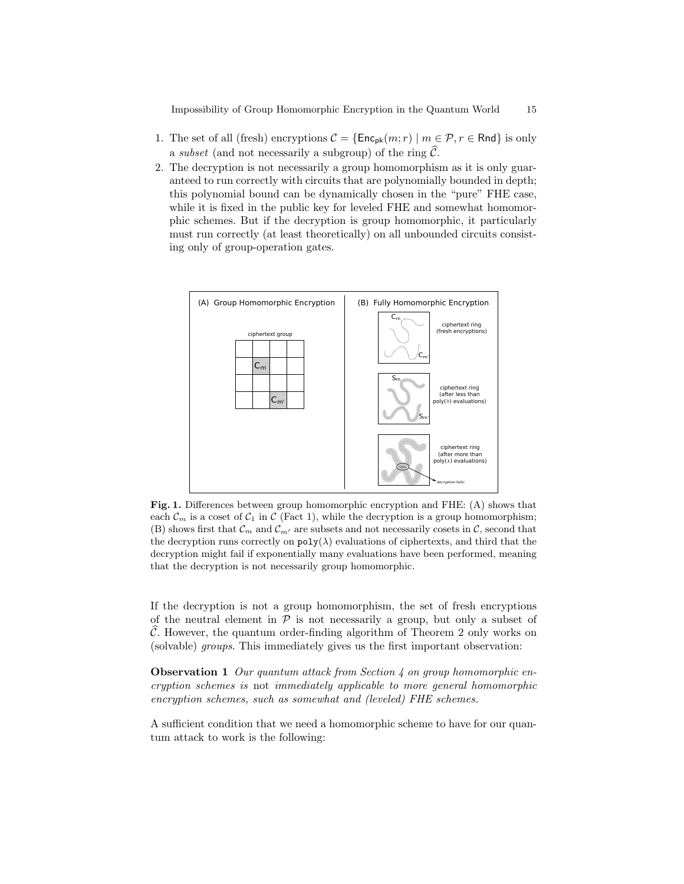Impossibility of Group Homomorphic Encryption in the Quantum World 15

- 1. The set of all (fresh) encryptions  $C = {\text{Enc}_{pk}(m; r) \mid m \in \mathcal{P}, r \in \text{Rnd}}$  is only a *subset* (and not necessarily a subgroup) of the ring  $\widehat{C}$ .
- 2. The decryption is not necessarily a group homomorphism as it is only guaranteed to run correctly with circuits that are polynomially bounded in depth; this polynomial bound can be dynamically chosen in the "pure" FHE case, while it is fixed in the public key for leveled FHE and somewhat homomorphic schemes. But if the decryption is group homomorphic, it particularly must run correctly (at least theoretically) on all unbounded circuits consisting only of group-operation gates.



**Fig. 1.** Differences between group homomorphic encryption and FHE: (A) shows that each  $\mathcal{C}_m$  is a coset of  $\mathcal{C}_1$  in  $\mathcal{C}$  (Fact 1), while the decryption is a group homomorphism; (B) shows first that  $\mathcal{C}_m$  and  $\mathcal{C}_{m'}$  are subsets and not necessarily cosets in  $\mathcal{C}$ , second that the decryption runs correctly on  $poly(\lambda)$  evaluations of ciphertexts, and third that the decryption might fail if exponentially many evaluations have been performed, meaning that the decryption is not necessarily group homomorphic.

If the decryption is not a group homomorphism, the set of fresh encryptions of the neutral element in  $P$  is not necessarily a group, but only a subset of *C*. However, the quantum order-finding algorithm of Theorem 2 only works on (solvable) *groups*. This immediately gives us the first important observation:

**Observation 1** *Our quantum attack from Section 4 on group homomorphic encryption schemes is* not *immediately applicable to more general homomorphic encryption schemes, such as somewhat and (leveled) FHE schemes.*

A sufficient condition that we need a homomorphic scheme to have for our quantum attack to work is the following: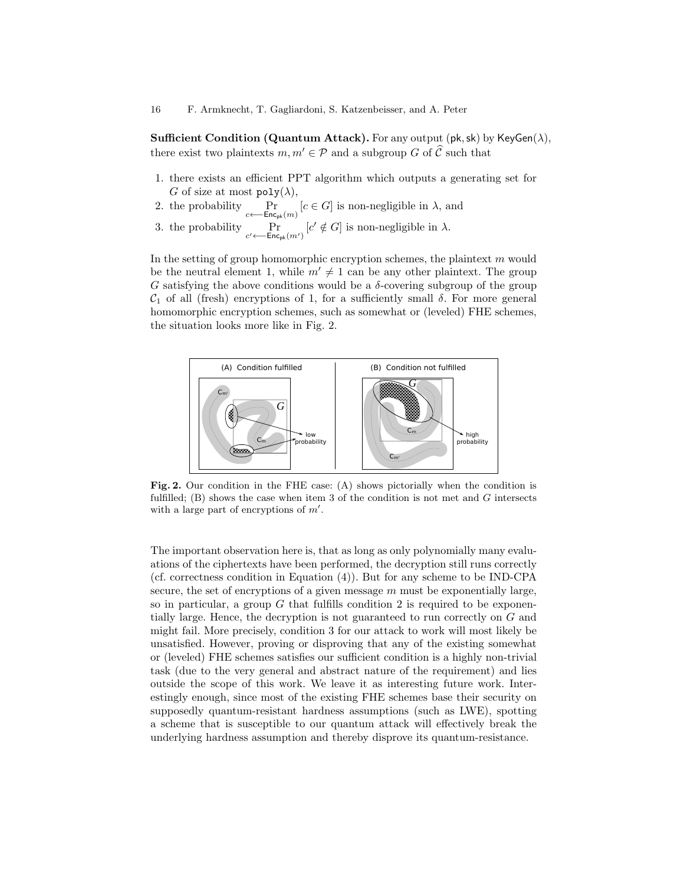**Sufficient Condition (Quantum Attack).** For any output (pk*,*sk) by KeyGen(*λ*), there exist two plaintexts  $m, m' \in \mathcal{P}$  and a subgroup *G* of  $\widehat{\mathcal{C}}$  such that

- 1. there exists an efficient PPT algorithm which outputs a generating set for *G* of size at most  $poly(\lambda)$ ,
- 2. the probability Pr *c←−*Encpk(*m*)  $[c \in G]$  is non-negligible in  $\lambda$ , and
- 3. the probability  $\Pr_{c' \leftarrow \text{Enc}_{pk}(m')}$  $[c' \notin G]$  is non-negligible in  $\lambda$ .

In the setting of group homomorphic encryption schemes, the plaintext *m* would be the neutral element 1, while  $m' \neq 1$  can be any other plaintext. The group *G* satisfying the above conditions would be a  $\delta$ -covering subgroup of the group *C*<sup>1</sup> of all (fresh) encryptions of 1, for a sufficiently small *δ*. For more general homomorphic encryption schemes, such as somewhat or (leveled) FHE schemes, the situation looks more like in Fig. 2.



**Fig. 2.** Our condition in the FHE case: (A) shows pictorially when the condition is fulfilled; (B) shows the case when item 3 of the condition is not met and *G* intersects with a large part of encryptions of  $m'$ .

The important observation here is, that as long as only polynomially many evaluations of the ciphertexts have been performed, the decryption still runs correctly (cf. correctness condition in Equation (4)). But for any scheme to be IND-CPA secure, the set of encryptions of a given message *m* must be exponentially large, so in particular, a group  $G$  that fulfills condition 2 is required to be exponentially large. Hence, the decryption is not guaranteed to run correctly on *G* and might fail. More precisely, condition 3 for our attack to work will most likely be unsatisfied. However, proving or disproving that any of the existing somewhat or (leveled) FHE schemes satisfies our sufficient condition is a highly non-trivial task (due to the very general and abstract nature of the requirement) and lies outside the scope of this work. We leave it as interesting future work. Interestingly enough, since most of the existing FHE schemes base their security on supposedly quantum-resistant hardness assumptions (such as LWE), spotting a scheme that is susceptible to our quantum attack will effectively break the underlying hardness assumption and thereby disprove its quantum-resistance.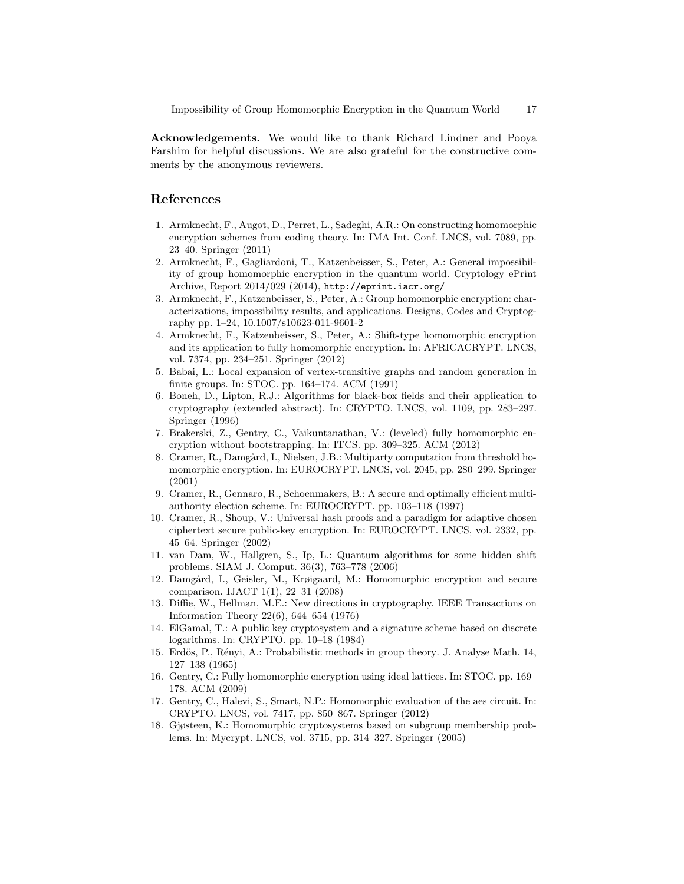**Acknowledgements.** We would like to thank Richard Lindner and Pooya Farshim for helpful discussions. We are also grateful for the constructive comments by the anonymous reviewers.

# **References**

- 1. Armknecht, F., Augot, D., Perret, L., Sadeghi, A.R.: On constructing homomorphic encryption schemes from coding theory. In: IMA Int. Conf. LNCS, vol. 7089, pp. 23–40. Springer (2011)
- 2. Armknecht, F., Gagliardoni, T., Katzenbeisser, S., Peter, A.: General impossibility of group homomorphic encryption in the quantum world. Cryptology ePrint Archive, Report 2014/029 (2014), http://eprint.iacr.org/
- 3. Armknecht, F., Katzenbeisser, S., Peter, A.: Group homomorphic encryption: characterizations, impossibility results, and applications. Designs, Codes and Cryptography pp. 1–24, 10.1007/s10623-011-9601-2
- 4. Armknecht, F., Katzenbeisser, S., Peter, A.: Shift-type homomorphic encryption and its application to fully homomorphic encryption. In: AFRICACRYPT. LNCS, vol. 7374, pp. 234–251. Springer (2012)
- 5. Babai, L.: Local expansion of vertex-transitive graphs and random generation in finite groups. In: STOC. pp. 164–174. ACM (1991)
- 6. Boneh, D., Lipton, R.J.: Algorithms for black-box fields and their application to cryptography (extended abstract). In: CRYPTO. LNCS, vol. 1109, pp. 283–297. Springer (1996)
- 7. Brakerski, Z., Gentry, C., Vaikuntanathan, V.: (leveled) fully homomorphic encryption without bootstrapping. In: ITCS. pp. 309–325. ACM (2012)
- 8. Cramer, R., Damgård, I., Nielsen, J.B.: Multiparty computation from threshold homomorphic encryption. In: EUROCRYPT. LNCS, vol. 2045, pp. 280–299. Springer (2001)
- 9. Cramer, R., Gennaro, R., Schoenmakers, B.: A secure and optimally efficient multiauthority election scheme. In: EUROCRYPT. pp. 103–118 (1997)
- 10. Cramer, R., Shoup, V.: Universal hash proofs and a paradigm for adaptive chosen ciphertext secure public-key encryption. In: EUROCRYPT. LNCS, vol. 2332, pp. 45–64. Springer (2002)
- 11. van Dam, W., Hallgren, S., Ip, L.: Quantum algorithms for some hidden shift problems. SIAM J. Comput. 36(3), 763–778 (2006)
- 12. Damg˚ard, I., Geisler, M., Krøigaard, M.: Homomorphic encryption and secure comparison. IJACT 1(1), 22–31 (2008)
- 13. Diffie, W., Hellman, M.E.: New directions in cryptography. IEEE Transactions on Information Theory 22(6), 644–654 (1976)
- 14. ElGamal, T.: A public key cryptosystem and a signature scheme based on discrete logarithms. In: CRYPTO. pp. 10–18 (1984)
- 15. Erdös, P., Rényi, A.: Probabilistic methods in group theory. J. Analyse Math. 14, 127–138 (1965)
- 16. Gentry, C.: Fully homomorphic encryption using ideal lattices. In: STOC. pp. 169– 178. ACM (2009)
- 17. Gentry, C., Halevi, S., Smart, N.P.: Homomorphic evaluation of the aes circuit. In: CRYPTO. LNCS, vol. 7417, pp. 850–867. Springer (2012)
- 18. Gjøsteen, K.: Homomorphic cryptosystems based on subgroup membership problems. In: Mycrypt. LNCS, vol. 3715, pp. 314–327. Springer (2005)